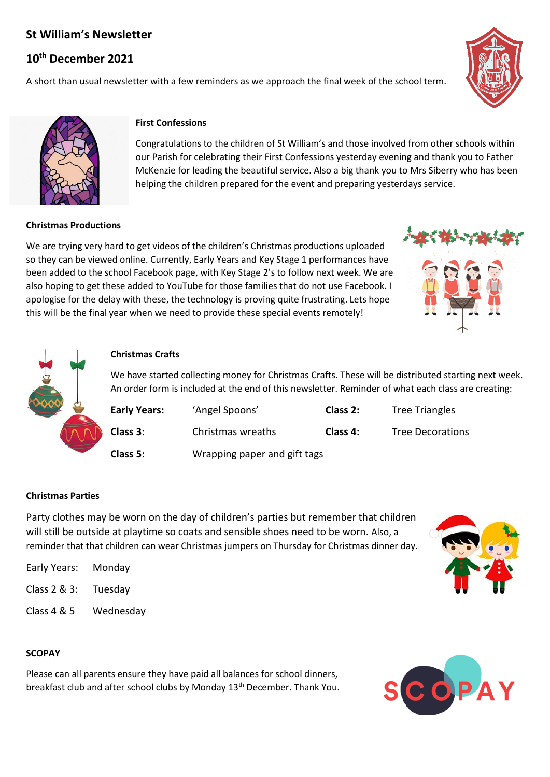# **St William's Newsletter**

# **10th December 2021**

A short than usual newsletter with a few reminders as we approach the final week of the school term.





## **First Confessions**

Congratulations to the children of St William's and those involved from other schools within our Parish for celebrating their First Confessions yesterday evening and thank you to Father McKenzie for leading the beautiful service. Also a big thank you to Mrs Siberry who has been helping the children prepared for the event and preparing yesterdays service.

#### **Christmas Productions**

We are trying very hard to get videos of the children's Christmas productions uploaded so they can be viewed online. Currently, Early Years and Key Stage 1 performances have been added to the school Facebook page, with Key Stage 2's to follow next week. We are also hoping to get these added to YouTube for those families that do not use Facebook. I apologise for the delay with these, the technology is proving quite frustrating. Lets hope this will be the final year when we need to provide these special events remotely!





### **Christmas Crafts**

We have started collecting money for Christmas Crafts. These will be distributed starting next week. An order form is included at the end of this newsletter. Reminder of what each class are creating:

| <b>Early Years:</b> | 'Angel Spoons'               | Class 2: | <b>Tree Triangles</b>   |
|---------------------|------------------------------|----------|-------------------------|
| Class 3:            | Christmas wreaths            | Class 4: | <b>Tree Decorations</b> |
| Class 5:            | Wrapping paper and gift tags |          |                         |

### **Christmas Parties**

Party clothes may be worn on the day of children's parties but remember that children will still be outside at playtime so coats and sensible shoes need to be worn. Also, a reminder that that children can wear Christmas jumpers on Thursday for Christmas dinner day.

| Early Years: | Monday    |
|--------------|-----------|
| Class 2 & 3: | Tuesday   |
| Class 4 & 5  | Wednesday |

### **SCOPAY**

Please can all parents ensure they have paid all balances for school dinners, breakfast club and after school clubs by Monday 13<sup>th</sup> December. Thank You.